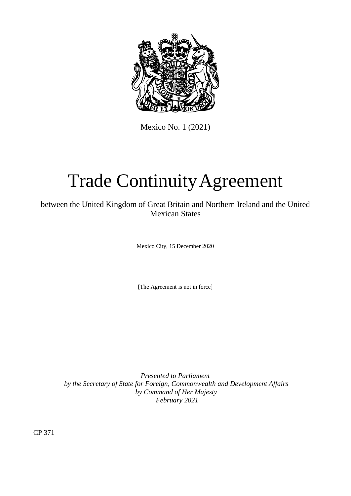

Mexico No. 1 (2021)

# Trade ContinuityAgreement

between the United Kingdom of Great Britain and Northern Ireland and the United Mexican States

Mexico City, 15 December 2020

[The Agreement is not in force]

*Presented to Parliament by the Secretary of State for Foreign, Commonwealth and Development Affairs by Command of Her Majesty February 2021*

CP 371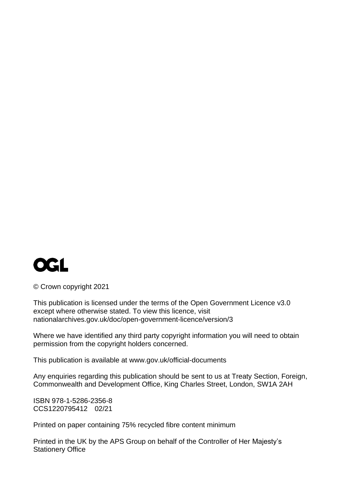

© Crown copyright 2021

This publication is licensed under the terms of the Open Government Licence v3.0 except where otherwise stated. To view this licence, visit [nationalarchives.gov.uk/doc/open-government-licence/version/3](http://www.nationalarchives.gov.uk/doc/open-government-licence/version/3)

Where we have identified any third party copyright information you will need to obtain permission from the copyright holders concerned.

This publication is available at [www.gov.uk/official-documents](http://www.gov.uk/official-documents)

Any enquiries regarding this publication should be sent to us at Treaty Section, Foreign, Commonwealth and Development Office, King Charles Street, London, SW1A 2AH

ISBN 978-1-5286-2356-8 CCS1220795412 02/21

Printed on paper containing 75% recycled fibre content minimum

Printed in the UK by the APS Group on behalf of the Controller of Her Majesty's Stationery Office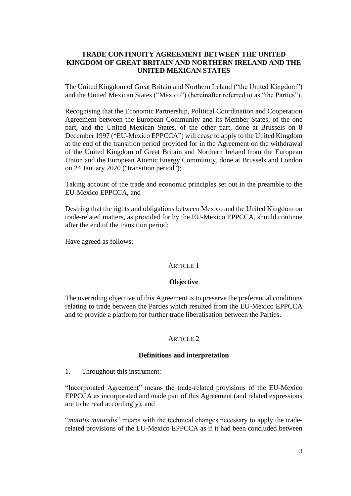# **TRADE CONTINUITY AGREEMENT BETWEEN THE UNITED KINGDOM OF GREAT BRITAIN AND NORTHERN IRELAND AND THE UNITED MEXICAN STATES**

The United Kingdom of Great Britain and Northern Ireland ("the United Kingdom") and the United Mexican States ("Mexico") (hereinafter referred to as "the Parties"),

Recognising that the Economic Partnership, Political Coordination and Cooperation Agreement between the European Community and its Member States, of the one part, and the United Mexican States, of the other part, done at Brussels on 8 December 1997 ("EU-Mexico EPPCCA") will cease to apply to the United Kingdom at the end of the transition period provided for in the Agreement on the withdrawal of the United Kingdom of Great Britain and Northern Ireland from the European Union and the European Atomic Energy Community, done at Brussels and London on 24 January 2020 ("transition period");

Taking account of the trade and economic principles set out in the preamble to the EU-Mexico EPPCCA, and

Desiring that the rights and obligations between Mexico and the United Kingdom on trade-related matters, as provided for by the EU-Mexico EPPCCA, should continue after the end of the transition period;

Have agreed as follows:

# ARTICLE 1

#### **Objective**

The overriding objective of this Agreement is to preserve the preferential conditions relating to trade between the Parties which resulted from the EU-Mexico EPPCCA and to provide a platform for further trade liberalisation between the Parties.

#### ARTICLE 2

#### **Definitions and interpretation**

1. Throughout this instrument:

"Incorporated Agreement" means the trade-related provisions of the EU-Mexico EPPCCA as incorporated and made part of this Agreement (and related expressions are to be read accordingly); and

"*mutatis mutandis*" means with the technical changes necessary to apply the traderelated provisions of the EU-Mexico EPPCCA as if it had been concluded between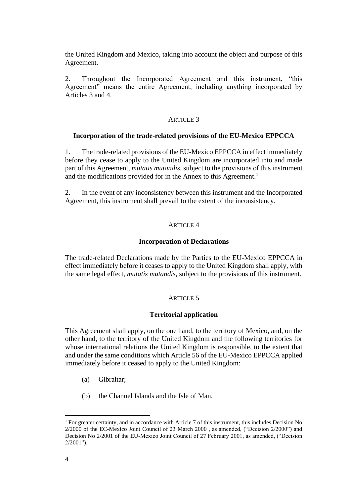the United Kingdom and Mexico, taking into account the object and purpose of this Agreement.

2. Throughout the Incorporated Agreement and this instrument, "this Agreement" means the entire Agreement, including anything incorporated by Articles 3 and 4.

#### ARTICLE 3

#### **Incorporation of the trade-related provisions of the EU-Mexico EPPCCA**

1. The trade-related provisions of the EU-Mexico EPPCCA in effect immediately before they cease to apply to the United Kingdom are incorporated into and made part of this Agreement, *mutatis mutandis*, subject to the provisions of this instrument and the modifications provided for in the Annex to this Agreement.<sup>1</sup>

2. In the event of any inconsistency between this instrument and the Incorporated Agreement, this instrument shall prevail to the extent of the inconsistency.

#### ARTICLE 4

#### **Incorporation of Declarations**

The trade-related Declarations made by the Parties to the EU-Mexico EPPCCA in effect immediately before it ceases to apply to the United Kingdom shall apply, with the same legal effect, *mutatis mutandis*, subject to the provisions of this instrument.

# ARTICLE 5

#### **Territorial application**

This Agreement shall apply, on the one hand, to the territory of Mexico, and, on the other hand, to the territory of the United Kingdom and the following territories for whose international relations the United Kingdom is responsible, to the extent that and under the same conditions which Article 56 of the EU-Mexico EPPCCA applied immediately before it ceased to apply to the United Kingdom:

- (a) Gibraltar;
- (b) the Channel Islands and the Isle of Man.

<sup>&</sup>lt;sup>1</sup> For greater certainty, and in accordance with Article 7 of this instrument, this includes Decision No 2/2000 of the EC-Mexico Joint Council of 23 March 2000 , as amended, ("Decision 2/2000") and Decision No 2/2001 of the EU-Mexico Joint Council of 27 February 2001, as amended, ("Decision 2/2001").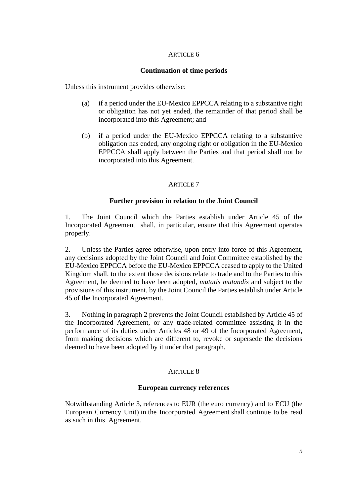# ARTICLE 6

# **Continuation of time periods**

Unless this instrument provides otherwise:

- (a) if a period under the EU-Mexico EPPCCA relating to a substantive right or obligation has not yet ended, the remainder of that period shall be incorporated into this Agreement; and
- (b) if a period under the EU-Mexico EPPCCA relating to a substantive obligation has ended, any ongoing right or obligation in the EU-Mexico EPPCCA shall apply between the Parties and that period shall not be incorporated into this Agreement.

# ARTICLE 7

# **Further provision in relation to the Joint Council**

1. The Joint Council which the Parties establish under Article 45 of the Incorporated Agreement shall, in particular, ensure that this Agreement operates properly.

2. Unless the Parties agree otherwise, upon entry into force of this Agreement, any decisions adopted by the Joint Council and Joint Committee established by the EU-Mexico EPPCCA before the EU-Mexico EPPCCA ceased to apply to the United Kingdom shall, to the extent those decisions relate to trade and to the Parties to this Agreement, be deemed to have been adopted, *mutatis mutandis* and subject to the provisions of this instrument, by the Joint Council the Parties establish under Article 45 of the Incorporated Agreement.

3. Nothing in paragraph 2 prevents the Joint Council established by Article 45 of the Incorporated Agreement, or any trade-related committee assisting it in the performance of its duties under Articles 48 or 49 of the Incorporated Agreement, from making decisions which are different to, revoke or supersede the decisions deemed to have been adopted by it under that paragraph.

# ARTICLE 8

# **European currency references**

Notwithstanding Article 3, references to EUR (the euro currency) and to ECU (the European Currency Unit) in the Incorporated Agreement shall continue to be read as such in this Agreement.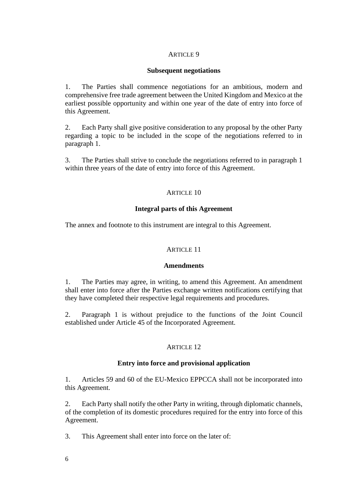# ARTICLE 9

#### **Subsequent negotiations**

1. The Parties shall commence negotiations for an ambitious, modern and comprehensive free trade agreement between the United Kingdom and Mexico at the earliest possible opportunity and within one year of the date of entry into force of this Agreement.

2. Each Party shall give positive consideration to any proposal by the other Party regarding a topic to be included in the scope of the negotiations referred to in paragraph 1.

3. The Parties shall strive to conclude the negotiations referred to in paragraph 1 within three years of the date of entry into force of this Agreement.

#### ARTICLE 10

#### **Integral parts of this Agreement**

The annex and footnote to this instrument are integral to this Agreement.

#### ARTICLE 11

#### **Amendments**

1. The Parties may agree, in writing, to amend this Agreement. An amendment shall enter into force after the Parties exchange written notifications certifying that they have completed their respective legal requirements and procedures.

2. Paragraph 1 is without prejudice to the functions of the Joint Council established under Article 45 of the Incorporated Agreement.

#### ARTICLE 12

#### **Entry into force and provisional application**

1. Articles 59 and 60 of the EU-Mexico EPPCCA shall not be incorporated into this Agreement.

2. Each Party shall notify the other Party in writing, through diplomatic channels, of the completion of its domestic procedures required for the entry into force of this Agreement.

3. This Agreement shall enter into force on the later of: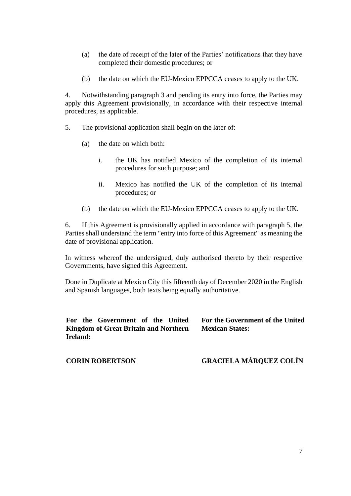- (a) the date of receipt of the later of the Parties' notifications that they have completed their domestic procedures; or
- (b) the date on which the EU-Mexico EPPCCA ceases to apply to the UK.

4. Notwithstanding paragraph 3 and pending its entry into force, the Parties may apply this Agreement provisionally, in accordance with their respective internal procedures, as applicable.

- 5. The provisional application shall begin on the later of:
	- (a) the date on which both:
		- i. the UK has notified Mexico of the completion of its internal procedures for such purpose; and
		- ii. Mexico has notified the UK of the completion of its internal procedures; or
	- (b) the date on which the EU-Mexico EPPCCA ceases to apply to the UK.

6. If this Agreement is provisionally applied in accordance with paragraph 5, the Parties shall understand the term "entry into force of this Agreement" as meaning the date of provisional application.

In witness whereof the undersigned, duly authorised thereto by their respective Governments, have signed this Agreement.

Done in Duplicate at Mexico City this fifteenth day of December 2020 in the English and Spanish languages, both texts being equally authoritative.

**For the Government of the United Kingdom of Great Britain and Northern Ireland:**

**For the Government of the United Mexican States:**

**CORIN ROBERTSON**

# **GRACIELA MÁRQUEZ COLÍN**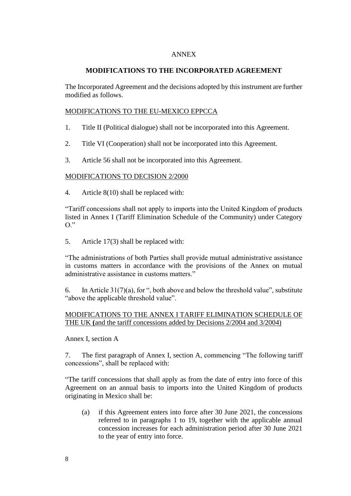# ANNEX

# **MODIFICATIONS TO THE INCORPORATED AGREEMENT**

The Incorporated Agreement and the decisions adopted by this instrument are further modified as follows.

## MODIFICATIONS TO THE EU-MEXICO EPPCCA

- 1. Title II (Political dialogue) shall not be incorporated into this Agreement.
- 2. Title VI (Cooperation) shall not be incorporated into this Agreement.
- 3. Article 56 shall not be incorporated into this Agreement.

#### MODIFICATIONS TO DECISION 2/2000

4. Article 8(10) shall be replaced with:

"Tariff concessions shall not apply to imports into the United Kingdom of products listed in Annex I (Tariff Elimination Schedule of the Community) under Category  $O$ ."

5. Article 17(3) shall be replaced with:

"The administrations of both Parties shall provide mutual administrative assistance in customs matters in accordance with the provisions of the Annex on mutual administrative assistance in customs matters."

6. In Article  $31(7)(a)$ , for ", both above and below the threshold value", substitute "above the applicable threshold value".

# MODIFICATIONS TO THE ANNEX I TARIFF ELIMINATION SCHEDULE OF THE UK **(**and the tariff concessions added by Decisions 2/2004 and 3/2004)

#### Annex I, section A

7. The first paragraph of Annex I, section A, commencing "The following tariff concessions", shall be replaced with:

"The tariff concessions that shall apply as from the date of entry into force of this Agreement on an annual basis to imports into the United Kingdom of products originating in Mexico shall be:

(a) if this Agreement enters into force after 30 June 2021, the concessions referred to in paragraphs 1 to 19, together with the applicable annual concession increases for each administration period after 30 June 2021 to the year of entry into force.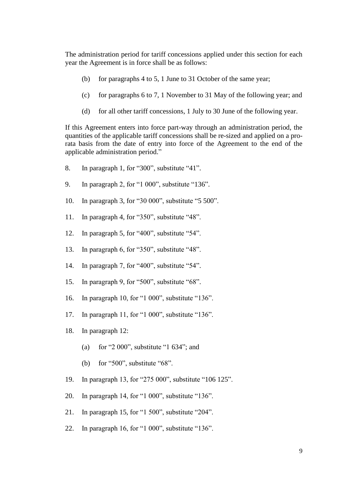The administration period for tariff concessions applied under this section for each year the Agreement is in force shall be as follows:

- (b) for paragraphs 4 to 5, 1 June to 31 October of the same year;
- (c) for paragraphs 6 to 7, 1 November to 31 May of the following year; and
- (d) for all other tariff concessions, 1 July to 30 June of the following year.

If this Agreement enters into force part-way through an administration period, the quantities of the applicable tariff concessions shall be re-sized and applied on a prorata basis from the date of entry into force of the Agreement to the end of the applicable administration period."

- 8. In paragraph 1, for "300", substitute "41".
- 9. In paragraph 2, for "1 000", substitute "136".
- 10. In paragraph 3, for "30 000", substitute "5 500".
- 11. In paragraph 4, for "350", substitute "48".
- 12. In paragraph 5, for "400", substitute "54".
- 13. In paragraph 6, for "350", substitute "48".
- 14. In paragraph 7, for "400", substitute "54".
- 15. In paragraph 9, for "500", substitute "68".
- 16. In paragraph 10, for "1 000", substitute "136".
- 17. In paragraph 11, for "1 000", substitute "136".
- 18. In paragraph 12:
	- (a) for "2 000", substitute "1 634"; and
	- (b) for "500", substitute "68".
- 19. In paragraph 13, for "275 000", substitute "106 125".
- 20. In paragraph 14, for "1 000", substitute "136".
- 21. In paragraph 15, for "1 500", substitute "204".
- 22. In paragraph 16, for "1 000", substitute "136".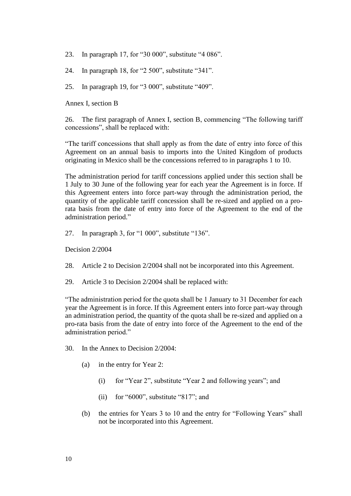23. In paragraph 17, for "30 000", substitute "4 086".

24. In paragraph 18, for "2 500", substitute "341".

25. In paragraph 19, for "3 000", substitute "409".

Annex I, section B

26. The first paragraph of Annex I, section B, commencing "The following tariff concessions", shall be replaced with:

"The tariff concessions that shall apply as from the date of entry into force of this Agreement on an annual basis to imports into the United Kingdom of products originating in Mexico shall be the concessions referred to in paragraphs 1 to 10.

The administration period for tariff concessions applied under this section shall be 1 July to 30 June of the following year for each year the Agreement is in force. If this Agreement enters into force part-way through the administration period, the quantity of the applicable tariff concession shall be re-sized and applied on a prorata basis from the date of entry into force of the Agreement to the end of the administration period."

27. In paragraph 3, for "1 000", substitute "136".

Decision 2/2004

- 28. Article 2 to Decision 2/2004 shall not be incorporated into this Agreement.
- 29. Article 3 to Decision 2/2004 shall be replaced with:

"The administration period for the quota shall be 1 January to 31 December for each year the Agreement is in force. If this Agreement enters into force part-way through an administration period, the quantity of the quota shall be re-sized and applied on a pro-rata basis from the date of entry into force of the Agreement to the end of the administration period."

- 30. In the Annex to Decision 2/2004:
	- (a) in the entry for Year 2:
		- (i) for "Year 2", substitute "Year 2 and following years"; and
		- (ii) for "6000", substitute "817"; and
	- (b) the entries for Years 3 to 10 and the entry for "Following Years" shall not be incorporated into this Agreement.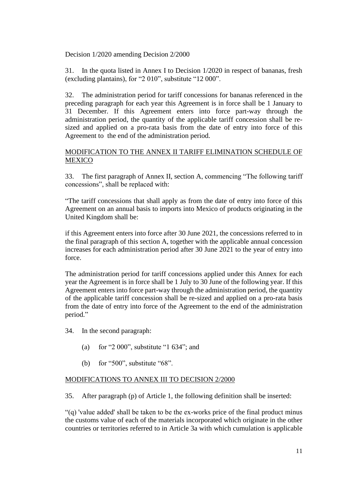Decision 1/2020 amending Decision 2/2000

31. In the quota listed in Annex I to Decision 1/2020 in respect of bananas, fresh (excluding plantains), for "2 010", substitute "12 000".

32. The administration period for tariff concessions for bananas referenced in the preceding paragraph for each year this Agreement is in force shall be 1 January to 31 December. If this Agreement enters into force part-way through the administration period, the quantity of the applicable tariff concession shall be resized and applied on a pro-rata basis from the date of entry into force of this Agreement to the end of the administration period.

# MODIFICATION TO THE ANNEX II TARIFF ELIMINATION SCHEDULE OF MEXICO

33. The first paragraph of Annex II, section A, commencing "The following tariff concessions", shall be replaced with:

"The tariff concessions that shall apply as from the date of entry into force of this Agreement on an annual basis to imports into Mexico of products originating in the United Kingdom shall be:

if this Agreement enters into force after 30 June 2021, the concessions referred to in the final paragraph of this section A, together with the applicable annual concession increases for each administration period after 30 June 2021 to the year of entry into force.

The administration period for tariff concessions applied under this Annex for each year the Agreement is in force shall be 1 July to 30 June of the following year. If this Agreement enters into force part-way through the administration period, the quantity of the applicable tariff concession shall be re-sized and applied on a pro-rata basis from the date of entry into force of the Agreement to the end of the administration period."

34. In the second paragraph:

- (a) for "2 000", substitute "1 634"; and
- (b) for "500", substitute "68".

# MODIFICATIONS TO ANNEX III TO DECISION 2/2000

35. After paragraph (p) of Article 1, the following definition shall be inserted:

"(q) 'value added' shall be taken to be the ex-works price of the final product minus the customs value of each of the materials incorporated which originate in the other countries or territories referred to in Article 3a with which cumulation is applicable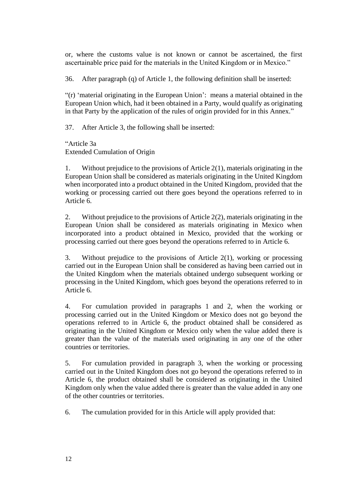or, where the customs value is not known or cannot be ascertained, the first ascertainable price paid for the materials in the United Kingdom or in Mexico."

36. After paragraph (q) of Article 1, the following definition shall be inserted:

"(r) 'material originating in the European Union': means a material obtained in the European Union which, had it been obtained in a Party, would qualify as originating in that Party by the application of the rules of origin provided for in this Annex."

37. After Article 3, the following shall be inserted:

"Article 3a Extended Cumulation of Origin

1. Without prejudice to the provisions of Article 2(1), materials originating in the European Union shall be considered as materials originating in the United Kingdom when incorporated into a product obtained in the United Kingdom, provided that the working or processing carried out there goes beyond the operations referred to in Article 6.

2. Without prejudice to the provisions of Article 2(2), materials originating in the European Union shall be considered as materials originating in Mexico when incorporated into a product obtained in Mexico, provided that the working or processing carried out there goes beyond the operations referred to in Article 6.

3. Without prejudice to the provisions of Article 2(1), working or processing carried out in the European Union shall be considered as having been carried out in the United Kingdom when the materials obtained undergo subsequent working or processing in the United Kingdom, which goes beyond the operations referred to in Article 6.

4. For cumulation provided in paragraphs 1 and 2, when the working or processing carried out in the United Kingdom or Mexico does not go beyond the operations referred to in Article 6, the product obtained shall be considered as originating in the United Kingdom or Mexico only when the value added there is greater than the value of the materials used originating in any one of the other countries or territories.

5. For cumulation provided in paragraph 3, when the working or processing carried out in the United Kingdom does not go beyond the operations referred to in Article 6, the product obtained shall be considered as originating in the United Kingdom only when the value added there is greater than the value added in any one of the other countries or territories.

6. The cumulation provided for in this Article will apply provided that: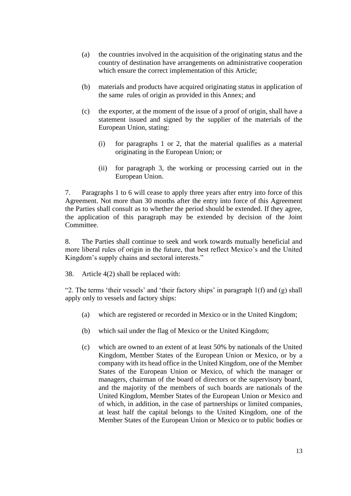- (a) the countries involved in the acquisition of the originating status and the country of destination have arrangements on administrative cooperation which ensure the correct implementation of this Article;
- (b) materials and products have acquired originating status in application of the same rules of origin as provided in this Annex; and
- (c) the exporter, at the moment of the issue of a proof of origin, shall have a statement issued and signed by the supplier of the materials of the European Union, stating:
	- (i) for paragraphs 1 or 2, that the material qualifies as a material originating in the European Union; or
	- (ii) for paragraph 3, the working or processing carried out in the European Union.

7. Paragraphs 1 to 6 will cease to apply three years after entry into force of this Agreement. Not more than 30 months after the entry into force of this Agreement the Parties shall consult as to whether the period should be extended. If they agree, the application of this paragraph may be extended by decision of the Joint Committee.

8. The Parties shall continue to seek and work towards mutually beneficial and more liberal rules of origin in the future, that best reflect Mexico's and the United Kingdom's supply chains and sectoral interests."

38. Article 4(2) shall be replaced with:

"2. The terms 'their vessels' and 'their factory ships' in paragraph  $1(f)$  and  $(g)$  shall apply only to vessels and factory ships:

- (a) which are registered or recorded in Mexico or in the United Kingdom;
- (b) which sail under the flag of Mexico or the United Kingdom;
- (c) which are owned to an extent of at least 50% by nationals of the United Kingdom, Member States of the European Union or Mexico, or by a company with its head office in the United Kingdom, one of the Member States of the European Union or Mexico, of which the manager or managers, chairman of the board of directors or the supervisory board, and the majority of the members of such boards are nationals of the United Kingdom, Member States of the European Union or Mexico and of which, in addition, in the case of partnerships or limited companies, at least half the capital belongs to the United Kingdom, one of the Member States of the European Union or Mexico or to public bodies or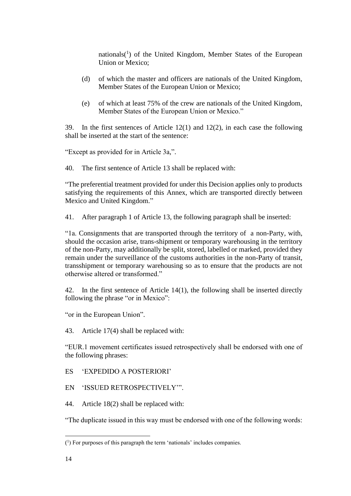nationals $(1)$  of the United Kingdom, Member States of the European Union or Mexico;

- (d) of which the master and officers are nationals of the United Kingdom, Member States of the European Union or Mexico;
- (e) of which at least 75% of the crew are nationals of the United Kingdom, Member States of the European Union or Mexico."

39. In the first sentences of Article 12(1) and 12(2), in each case the following shall be inserted at the start of the sentence:

"Except as provided for in Article 3a,".

40. The first sentence of Article 13 shall be replaced with:

"The preferential treatment provided for under this Decision applies only to products satisfying the requirements of this Annex, which are transported directly between Mexico and United Kingdom."

41. After paragraph 1 of Article 13, the following paragraph shall be inserted:

"1a. Consignments that are transported through the territory of a non-Party, with, should the occasion arise, trans-shipment or temporary warehousing in the territory of the non-Party, may additionally be split, stored, labelled or marked, provided they remain under the surveillance of the customs authorities in the non-Party of transit, transshipment or temporary warehousing so as to ensure that the products are not otherwise altered or transformed."

42. In the first sentence of Article 14(1), the following shall be inserted directly following the phrase "or in Mexico":

"or in the European Union".

43. Article 17(4) shall be replaced with:

"EUR.1 movement certificates issued retrospectively shall be endorsed with one of the following phrases:

ES 'EXPEDIDO A POSTERIORI'

EN 'ISSUED RETROSPECTIVELY'".

44. Article 18(2) shall be replaced with:

"The duplicate issued in this way must be endorsed with one of the following words:

<sup>(</sup> 1 ) For purposes of this paragraph the term 'nationals' includes companies.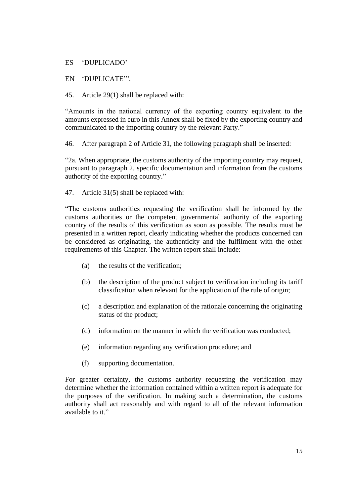ES 'DUPLICADO'

# EN 'DUPLICATE'".

45. Article 29(1) shall be replaced with:

"Amounts in the national currency of the exporting country equivalent to the amounts expressed in euro in this Annex shall be fixed by the exporting country and communicated to the importing country by the relevant Party."

46. After paragraph 2 of Article 31, the following paragraph shall be inserted:

"2a. When appropriate, the customs authority of the importing country may request, pursuant to paragraph 2, specific documentation and information from the customs authority of the exporting country."

47. Article 31(5) shall be replaced with:

"The customs authorities requesting the verification shall be informed by the customs authorities or the competent governmental authority of the exporting country of the results of this verification as soon as possible. The results must be presented in a written report, clearly indicating whether the products concerned can be considered as originating, the authenticity and the fulfilment with the other requirements of this Chapter. The written report shall include:

- (a) the results of the verification;
- (b) the description of the product subject to verification including its tariff classification when relevant for the application of the rule of origin;
- (c) a description and explanation of the rationale concerning the originating status of the product;
- (d) information on the manner in which the verification was conducted;
- (e) information regarding any verification procedure; and
- (f) supporting documentation.

For greater certainty, the customs authority requesting the verification may determine whether the information contained within a written report is adequate for the purposes of the verification. In making such a determination, the customs authority shall act reasonably and with regard to all of the relevant information available to it."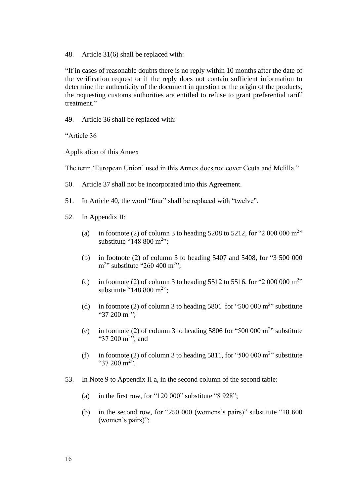48. Article 31(6) shall be replaced with:

"If in cases of reasonable doubts there is no reply within 10 months after the date of the verification request or if the reply does not contain sufficient information to determine the authenticity of the document in question or the origin of the products, the requesting customs authorities are entitled to refuse to grant preferential tariff treatment."

49. Article 36 shall be replaced with:

"Article 36

Application of this Annex

The term 'European Union' used in this Annex does not cover Ceuta and Melilla."

- 50. Article 37 shall not be incorporated into this Agreement.
- 51. In Article 40, the word "four" shall be replaced with "twelve".
- 52. In Appendix II:
	- (a) in footnote (2) of column 3 to heading  $5208$  to  $5212$ , for "2 000 000 m<sup>2</sup>" substitute "148 800 m<sup>2</sup>";
	- (b) in footnote (2) of column 3 to heading 5407 and 5408, for "3 500 000  $m^{2}$ " substitute "260 400 m<sup>2</sup>";
	- (c) in footnote (2) of column 3 to heading 5512 to 5516, for "2 000 000  $\text{m}^{2}$ " substitute "148 800 m<sup>2</sup>";
	- (d) in footnote (2) of column 3 to heading  $5801$  for " $500\,000$  m<sup>2</sup>" substitute "37 200 m<sup>2</sup>";
	- (e) in footnote (2) of column 3 to heading  $5806$  for " $500\,000$  m<sup>2</sup>" substitute "37 200 m<sup>2</sup>"; and
	- (f) in footnote (2) of column 3 to heading 5811, for "500 000  $m<sup>2</sup>$ " substitute "37 200 m<sup>2</sup>".
- 53. In Note 9 to Appendix II a, in the second column of the second table:
	- (a) in the first row, for "120 000" substitute "8 928";
	- (b) in the second row, for "250 000 (womens's pairs)" substitute "18 600 (women's pairs)";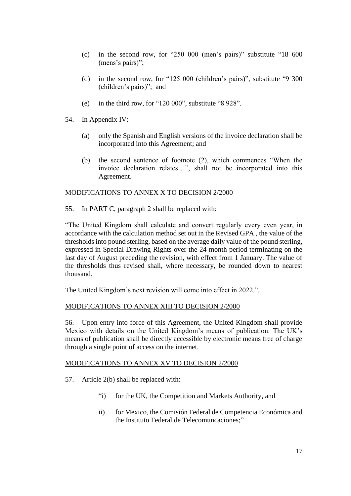- (c) in the second row, for "250 000 (men's pairs)" substitute "18 600 (mens's pairs)";
- (d) in the second row, for "125 000 (children's pairs)", substitute "9 300 (children's pairs)"; and
- (e) in the third row, for "120 000", substitute "8 928".
- 54. In Appendix IV:
	- (a) only the Spanish and English versions of the invoice declaration shall be incorporated into this Agreement; and
	- (b) the second sentence of footnote (2), which commences "When the invoice declaration relates…", shall not be incorporated into this Agreement.

# MODIFICATIONS TO ANNEX X TO DECISION 2/2000

55. In PART C, paragraph 2 shall be replaced with:

"The United Kingdom shall calculate and convert regularly every even year, in accordance with the calculation method set out in the Revised GPA , the value of the thresholds into pound sterling, based on the average daily value of the pound sterling, expressed in Special Drawing Rights over the 24 month period terminating on the last day of August preceding the revision, with effect from 1 January. The value of the thresholds thus revised shall, where necessary, be rounded down to nearest thousand.

The United Kingdom's next revision will come into effect in 2022.".

# MODIFICATIONS TO ANNEX XIII TO DECISION 2/2000

56. Upon entry into force of this Agreement, the United Kingdom shall provide Mexico with details on the United Kingdom's means of publication. The UK's means of publication shall be directly accessible by electronic means free of charge through a single point of access on the internet.

# MODIFICATIONS TO ANNEX XV TO DECISION 2/2000

- 57. Article 2(b) shall be replaced with:
	- "i) for the UK, the Competition and Markets Authority, and
	- ii) for Mexico, the Comisión Federal de Competencia Económica and the Instituto Federal de Telecomuncaciones;"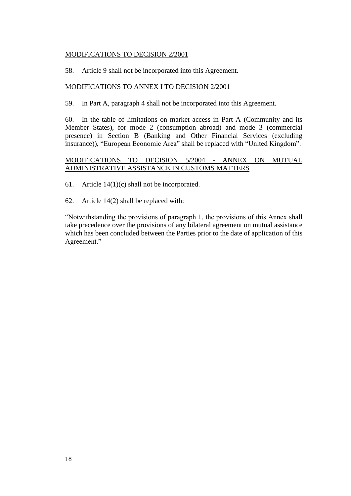# MODIFICATIONS TO DECISION 2/2001

58. Article 9 shall not be incorporated into this Agreement.

# MODIFICATIONS TO ANNEX I TO DECISION 2/2001

59. In Part A, paragraph 4 shall not be incorporated into this Agreement.

60. In the table of limitations on market access in Part A (Community and its Member States), for mode 2 (consumption abroad) and mode 3 (commercial presence) in Section B (Banking and Other Financial Services (excluding insurance)), "European Economic Area" shall be replaced with "United Kingdom".

# MODIFICATIONS TO DECISION 5/2004 - ANNEX ON MUTUAL ADMINISTRATIVE ASSISTANCE IN CUSTOMS MATTERS

61. Article 14(1)(c) shall not be incorporated.

62. Article 14(2) shall be replaced with:

"Notwithstanding the provisions of paragraph 1, the provisions of this Annex shall take precedence over the provisions of any bilateral agreement on mutual assistance which has been concluded between the Parties prior to the date of application of this Agreement."